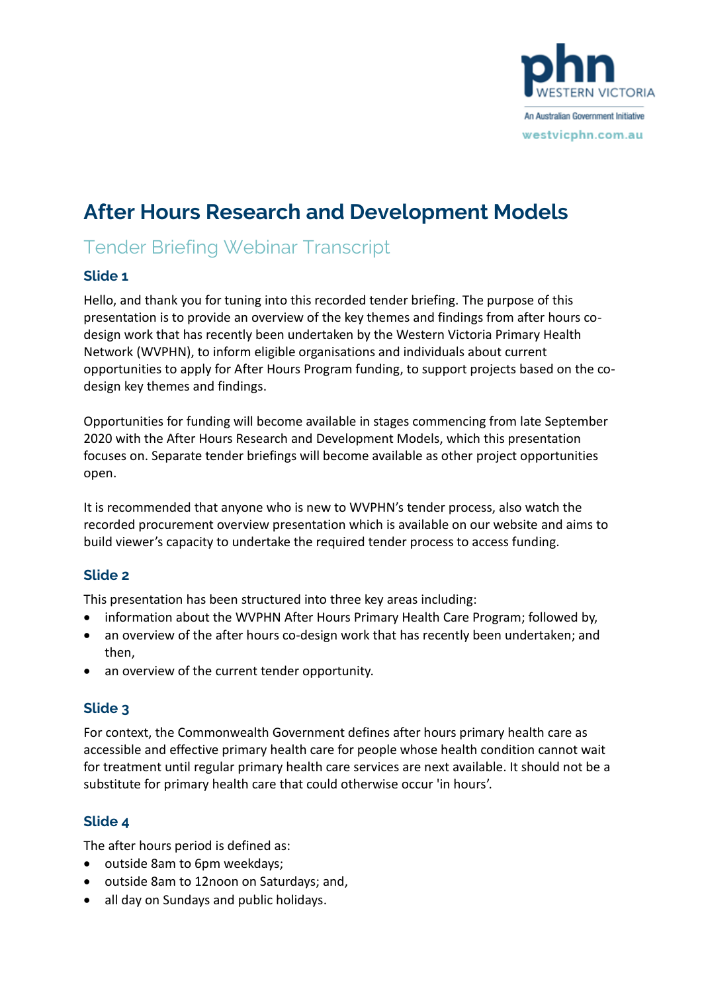

# **After Hours Research and Development Models**

# Tender Briefing Webinar Transcript

#### **Slide 1**

Hello, and thank you for tuning into this recorded tender briefing. The purpose of this presentation is to provide an overview of the key themes and findings from after hours codesign work that has recently been undertaken by the Western Victoria Primary Health Network (WVPHN), to inform eligible organisations and individuals about current opportunities to apply for After Hours Program funding, to support projects based on the codesign key themes and findings.

Opportunities for funding will become available in stages commencing from late September 2020 with the After Hours Research and Development Models, which this presentation focuses on. Separate tender briefings will become available as other project opportunities open.

It is recommended that anyone who is new to WVPHN's tender process, also watch the recorded procurement overview presentation which is available on our website and aims to build viewer's capacity to undertake the required tender process to access funding.

#### **Slide 2**

This presentation has been structured into three key areas including:

- information about the WVPHN After Hours Primary Health Care Program; followed by,
- an overview of the after hours co-design work that has recently been undertaken; and then,
- an overview of the current tender opportunity.

# **Slide 3**

For context, the Commonwealth Government defines after hours primary health care as accessible and effective primary health care for people whose health condition cannot wait for treatment until regular primary health care services are next available. It should not be a substitute for primary health care that could otherwise occur 'in hours'.

# **Slide 4**

The after hours period is defined as:

- outside 8am to 6pm weekdays;
- outside 8am to 12noon on Saturdays; and,
- all day on Sundays and public holidays.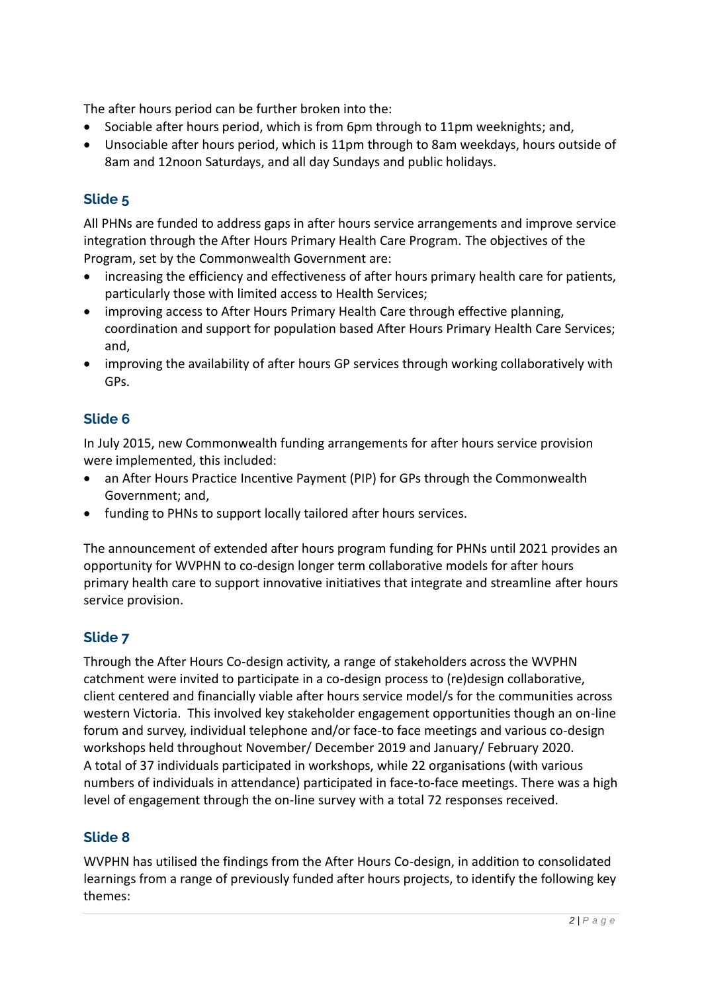The after hours period can be further broken into the:

- Sociable after hours period, which is from 6pm through to 11pm weeknights; and,
- Unsociable after hours period, which is 11pm through to 8am weekdays, hours outside of 8am and 12noon Saturdays, and all day Sundays and public holidays.

# **Slide 5**

All PHNs are funded to address gaps in after hours service arrangements and improve service integration through the After Hours Primary Health Care Program. The objectives of the Program, set by the Commonwealth Government are:

- increasing the efficiency and effectiveness of after hours primary health care for patients, particularly those with limited access to Health Services;
- improving access to After Hours Primary Health Care through effective planning, coordination and support for population based After Hours Primary Health Care Services; and,
- improving the availability of after hours GP services through working collaboratively with GPs.

# **Slide 6**

In July 2015, new Commonwealth funding arrangements for after hours service provision were implemented, this included:

- an After Hours Practice Incentive Payment (PIP) for GPs through the Commonwealth Government; and,
- funding to PHNs to support locally tailored after hours services.

The announcement of extended after hours program funding for PHNs until 2021 provides an opportunity for WVPHN to co-design longer term collaborative models for after hours primary health care to support innovative initiatives that integrate and streamline after hours service provision.

#### **Slide 7**

Through the After Hours Co-design activity, a range of stakeholders across the WVPHN catchment were invited to participate in a co-design process to (re)design collaborative, client centered and financially viable after hours service model/s for the communities across western Victoria. This involved key stakeholder engagement opportunities though an on-line forum and survey, individual telephone and/or face-to face meetings and various co-design workshops held throughout November/ December 2019 and January/ February 2020. A total of 37 individuals participated in workshops, while 22 organisations (with various numbers of individuals in attendance) participated in face-to-face meetings. There was a high level of engagement through the on-line survey with a total 72 responses received.

#### **Slide 8**

WVPHN has utilised the findings from the After Hours Co-design, in addition to consolidated learnings from a range of previously funded after hours projects, to identify the following key themes: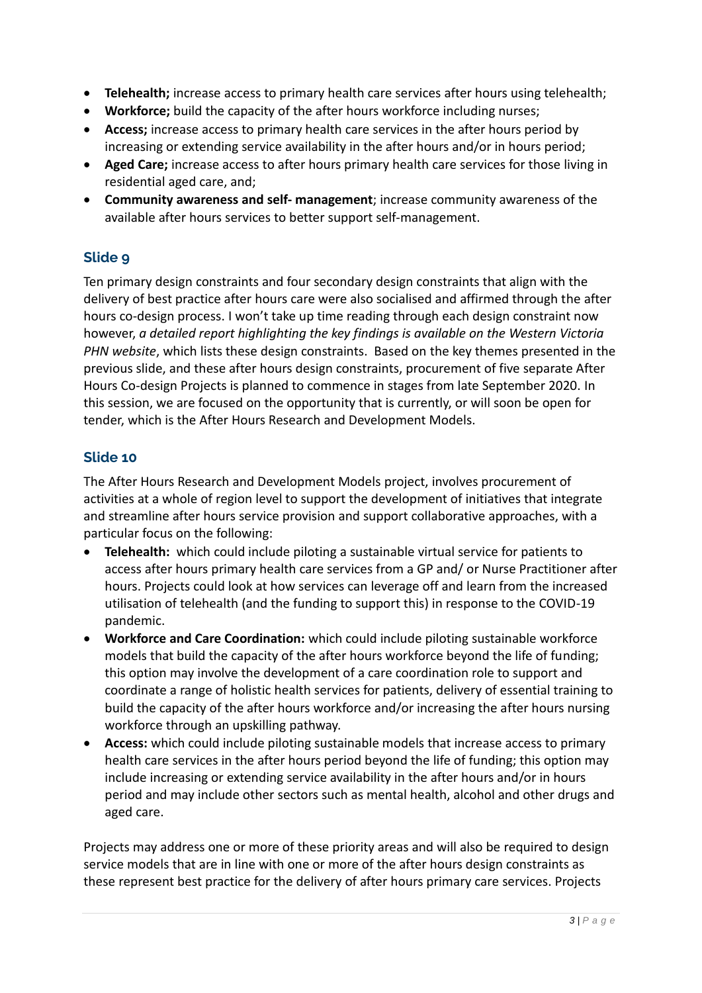- **Telehealth;** increase access to primary health care services after hours using telehealth;
- **Workforce;** build the capacity of the after hours workforce including nurses;
- **Access;** increase access to primary health care services in the after hours period by increasing or extending service availability in the after hours and/or in hours period;
- **Aged Care;** increase access to after hours primary health care services for those living in residential aged care, and;
- **Community awareness and self- management**; increase community awareness of the available after hours services to better support self-management.

#### **Slide 9**

Ten primary design constraints and four secondary design constraints that align with the delivery of best practice after hours care were also socialised and affirmed through the after hours co-design process. I won't take up time reading through each design constraint now however, *a detailed report highlighting the key findings is available on the Western Victoria PHN website*, which lists these design constraints. Based on the key themes presented in the previous slide, and these after hours design constraints, procurement of five separate After Hours Co-design Projects is planned to commence in stages from late September 2020. In this session, we are focused on the opportunity that is currently, or will soon be open for tender, which is the After Hours Research and Development Models.

#### **Slide 10**

The After Hours Research and Development Models project, involves procurement of activities at a whole of region level to support the development of initiatives that integrate and streamline after hours service provision and support collaborative approaches, with a particular focus on the following:

- **Telehealth:** which could include piloting a sustainable virtual service for patients to access after hours primary health care services from a GP and/ or Nurse Practitioner after hours. Projects could look at how services can leverage off and learn from the increased utilisation of telehealth (and the funding to support this) in response to the COVID-19 pandemic.
- **Workforce and Care Coordination:** which could include piloting sustainable workforce models that build the capacity of the after hours workforce beyond the life of funding; this option may involve the development of a care coordination role to support and coordinate a range of holistic health services for patients, delivery of essential training to build the capacity of the after hours workforce and/or increasing the after hours nursing workforce through an upskilling pathway.
- **Access:** which could include piloting sustainable models that increase access to primary health care services in the after hours period beyond the life of funding; this option may include increasing or extending service availability in the after hours and/or in hours period and may include other sectors such as mental health, alcohol and other drugs and aged care.

Projects may address one or more of these priority areas and will also be required to design service models that are in line with one or more of the after hours design constraints as these represent best practice for the delivery of after hours primary care services. Projects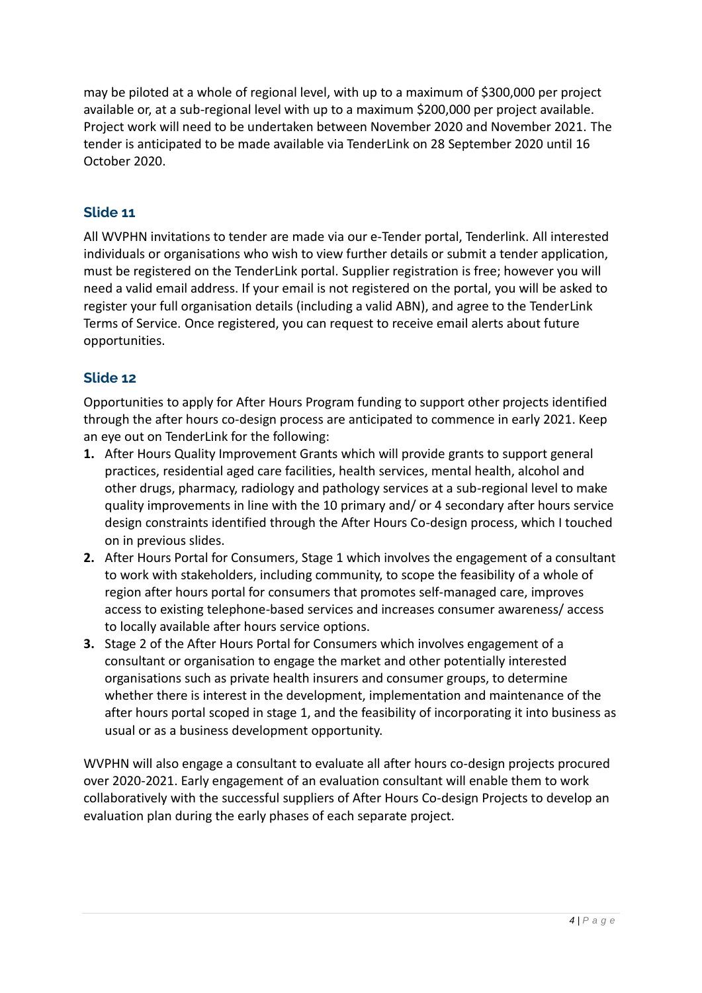may be piloted at a whole of regional level, with up to a maximum of \$300,000 per project available or, at a sub-regional level with up to a maximum \$200,000 per project available. Project work will need to be undertaken between November 2020 and November 2021. The tender is anticipated to be made available via TenderLink on 28 September 2020 until 16 October 2020.

#### **Slide 11**

All WVPHN invitations to tender are made via our e-Tender portal, Tenderlink. All interested individuals or organisations who wish to view further details or submit a tender application, must be registered on the TenderLink portal. Supplier registration is free; however you will need a valid email address. If your email is not registered on the portal, you will be asked to register your full organisation details (including a valid ABN), and agree to the TenderLink Terms of Service. Once registered, you can request to receive email alerts about future opportunities.

#### **Slide 12**

Opportunities to apply for After Hours Program funding to support other projects identified through the after hours co-design process are anticipated to commence in early 2021. Keep an eye out on TenderLink for the following:

- **1.** After Hours Quality Improvement Grants which will provide grants to support general practices, residential aged care facilities, health services, mental health, alcohol and other drugs, pharmacy, radiology and pathology services at a sub-regional level to make quality improvements in line with the 10 primary and/ or 4 secondary after hours service design constraints identified through the After Hours Co-design process, which I touched on in previous slides.
- **2.** After Hours Portal for Consumers, Stage 1 which involves the engagement of a consultant to work with stakeholders, including community, to scope the feasibility of a whole of region after hours portal for consumers that promotes self-managed care, improves access to existing telephone-based services and increases consumer awareness/ access to locally available after hours service options.
- **3.** Stage 2 of the After Hours Portal for Consumers which involves engagement of a consultant or organisation to engage the market and other potentially interested organisations such as private health insurers and consumer groups, to determine whether there is interest in the development, implementation and maintenance of the after hours portal scoped in stage 1, and the feasibility of incorporating it into business as usual or as a business development opportunity.

WVPHN will also engage a consultant to evaluate all after hours co-design projects procured over 2020-2021. Early engagement of an evaluation consultant will enable them to work collaboratively with the successful suppliers of After Hours Co-design Projects to develop an evaluation plan during the early phases of each separate project.